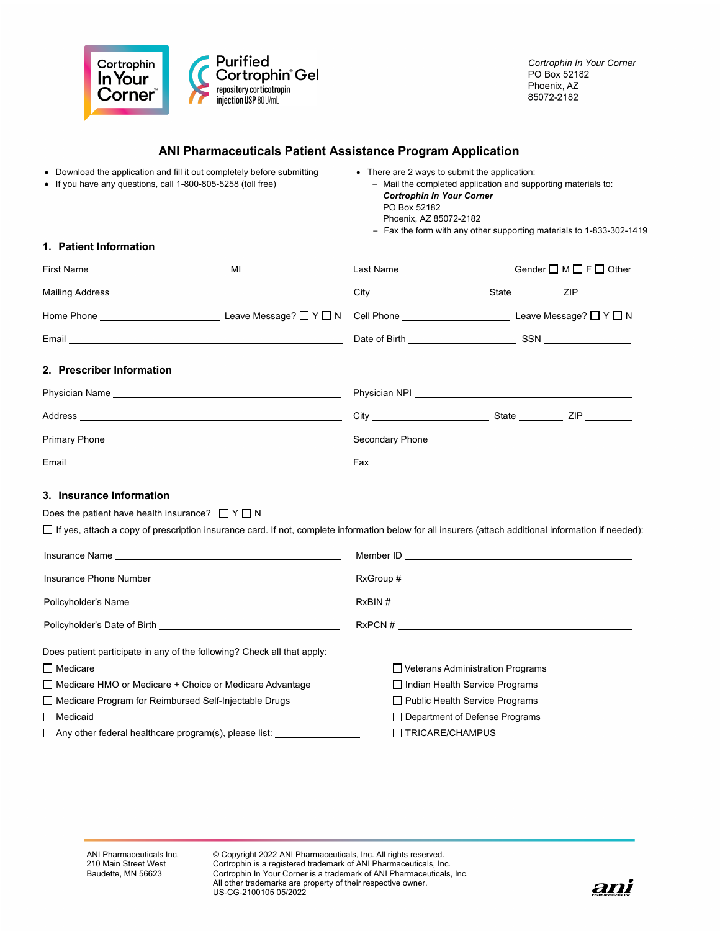

## **ANI Pharmaceuticals Patient Assistance Program Application**

| • Download the application and fill it out completely before submitting<br>If you have any questions, call 1-800-805-5258 (toll free)                                                                                          | • There are 2 ways to submit the application:<br>- Mail the completed application and supporting materials to:<br><b>Cortrophin In Your Corner</b><br>PO Box 52182<br>Phoenix, AZ 85072-2182<br>- Fax the form with any other supporting materials to 1-833-302-1419 |  |
|--------------------------------------------------------------------------------------------------------------------------------------------------------------------------------------------------------------------------------|----------------------------------------------------------------------------------------------------------------------------------------------------------------------------------------------------------------------------------------------------------------------|--|
| 1. Patient Information                                                                                                                                                                                                         |                                                                                                                                                                                                                                                                      |  |
|                                                                                                                                                                                                                                |                                                                                                                                                                                                                                                                      |  |
|                                                                                                                                                                                                                                |                                                                                                                                                                                                                                                                      |  |
|                                                                                                                                                                                                                                |                                                                                                                                                                                                                                                                      |  |
|                                                                                                                                                                                                                                |                                                                                                                                                                                                                                                                      |  |
| 2. Prescriber Information                                                                                                                                                                                                      |                                                                                                                                                                                                                                                                      |  |
|                                                                                                                                                                                                                                |                                                                                                                                                                                                                                                                      |  |
|                                                                                                                                                                                                                                |                                                                                                                                                                                                                                                                      |  |
|                                                                                                                                                                                                                                |                                                                                                                                                                                                                                                                      |  |
|                                                                                                                                                                                                                                |                                                                                                                                                                                                                                                                      |  |
| 3. Insurance Information<br>Does the patient have health insurance? $\Box Y \Box N$                                                                                                                                            |                                                                                                                                                                                                                                                                      |  |
| $\Box$ If yes, attach a copy of prescription insurance card. If not, complete information below for all insurers (attach additional information if needed):                                                                    |                                                                                                                                                                                                                                                                      |  |
| Insurance Name and the state of the state of the state of the state of the state of the state of the state of the state of the state of the state of the state of the state of the state of the state of the state of the stat |                                                                                                                                                                                                                                                                      |  |
|                                                                                                                                                                                                                                |                                                                                                                                                                                                                                                                      |  |
|                                                                                                                                                                                                                                | $RxBIN \#$                                                                                                                                                                                                                                                           |  |
|                                                                                                                                                                                                                                |                                                                                                                                                                                                                                                                      |  |
| Does patient participate in any of the following? Check all that apply:                                                                                                                                                        |                                                                                                                                                                                                                                                                      |  |
| <b>□</b> Medicare                                                                                                                                                                                                              | $\Box$ Veterans Administration Programs                                                                                                                                                                                                                              |  |
| □ Medicare HMO or Medicare + Choice or Medicare Advantage                                                                                                                                                                      | $\Box$ Indian Health Service Programs                                                                                                                                                                                                                                |  |
| □ Medicare Program for Reimbursed Self-Injectable Drugs                                                                                                                                                                        | $\Box$ Public Health Service Programs                                                                                                                                                                                                                                |  |
| $\Box$ Medicaid                                                                                                                                                                                                                | □ Department of Defense Programs                                                                                                                                                                                                                                     |  |
| $\Box$ Any other federal healthcare program(s), please list: $\Box$                                                                                                                                                            | $\Box$ TRICARE/CHAMPUS                                                                                                                                                                                                                                               |  |

© Copyright 2022 ANI Pharmaceuticals, Inc. All rights reserved. Cortrophin is a registered trademark of ANI Pharmaceuticals, Inc. Cortrophin In Your Corner is a trademark of ANI Pharmaceuticals, Inc. All other trademarks are property of their respective owner. US-CG-2100105 05/2022